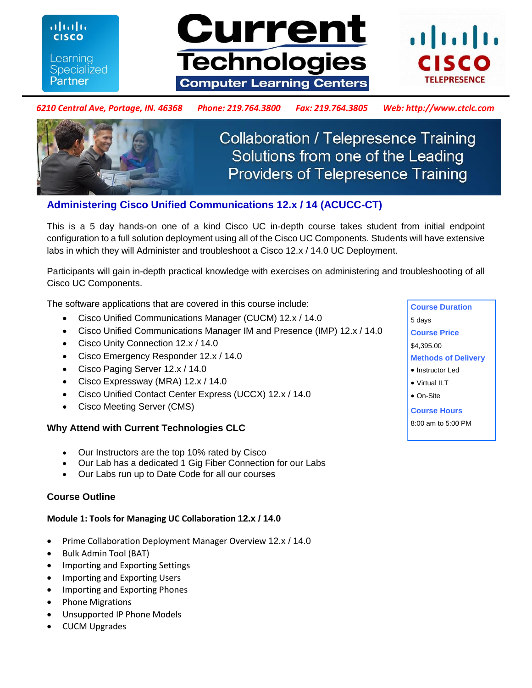Learning **Specialized** Partner

ahah

**CISCO** 





### *6210 Central Ave, Portage, IN. 46368 Phone: 219.764.3800 Fax: 219.764.3805 Web: http://www.ctclc.com*



**Collaboration / Telepresence Training** Solutions from one of the Leading **Providers of Telepresence Training** 

# **Administering Cisco Unified Communications 12.x / 14 (ACUCC-CT)**

This is a 5 day hands-on one of a kind Cisco UC in-depth course takes student from initial endpoint configuration to a full solution deployment using all of the Cisco UC Components. Students will have extensive labs in which they will Administer and troubleshoot a Cisco 12.x / 14.0 UC Deployment.

Participants will gain in-depth practical knowledge with exercises on administering and troubleshooting of all Cisco UC Components.

The software applications that are covered in this course include:

- Cisco Unified Communications Manager (CUCM) 12.x / 14.0
- Cisco Unified Communications Manager IM and Presence (IMP) 12.x / 14.0
- Cisco Unity Connection 12.x / 14.0
- Cisco Emergency Responder 12.x / 14.0
- Cisco Paging Server 12.x / 14.0
- Cisco Expressway (MRA) 12.x / 14.0
- Cisco Unified Contact Center Express (UCCX) 12.x / 14.0
- Cisco Meeting Server (CMS)

## **Why Attend with Current Technologies CLC**

- Our Instructors are the top 10% rated by Cisco
- Our Lab has a dedicated 1 Gig Fiber Connection for our Labs
- Our Labs run up to Date Code for all our courses

## **Course Outline**

### **Module 1: Tools for Managing UC Collaboration 12.x / 14.0**

- Prime Collaboration Deployment Manager Overview 12.x / 14.0
- Bulk Admin Tool (BAT)
- Importing and Exporting Settings
- Importing and Exporting Users
- Importing and Exporting Phones
- Phone Migrations
- Unsupported IP Phone Models
- CUCM Upgrades

**Course Duration**  5 days **Course Price**  \$4,395.00 **Methods of Delivery**  • Instructor Led Virtual ILT On-Site **Course Hours** 8:00 am to 5:00 PM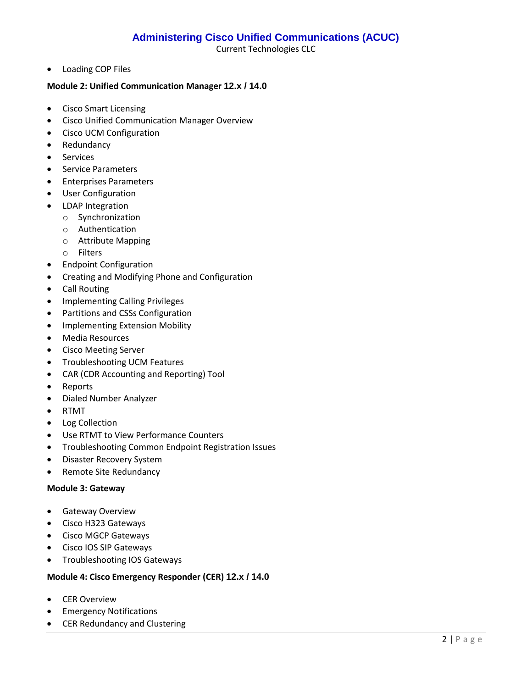Current Technologies CLC

Loading COP Files

#### **Module 2: Unified Communication Manager 12.x / 14.0**

- Cisco Smart Licensing
- Cisco Unified Communication Manager Overview
- Cisco UCM Configuration
- Redundancy
- **•** Services
- **•** Service Parameters
- **•** Enterprises Parameters
- User Configuration
- LDAP Integration
	- o Synchronization
	- o Authentication
	- o Attribute Mapping
	- o Filters
- Endpoint Configuration
- Creating and Modifying Phone and Configuration
- Call Routing
- Implementing Calling Privileges
- Partitions and CSSs Configuration
- Implementing Extension Mobility
- Media Resources
- Cisco Meeting Server
- **•** Troubleshooting UCM Features
- CAR (CDR Accounting and Reporting) Tool
- Reports
- Dialed Number Analyzer
- RTMT
- Log Collection
- Use RTMT to View Performance Counters
- **•** Troubleshooting Common Endpoint Registration Issues
- Disaster Recovery System
- Remote Site Redundancy

#### **Module 3: Gateway**

- **•** Gateway Overview
- Cisco H323 Gateways
- Cisco MGCP Gateways
- Cisco IOS SIP Gateways
- **•** Troubleshooting IOS Gateways

#### **Module 4: Cisco Emergency Responder (CER) 12.x / 14.0**

- CER Overview
- **•** Emergency Notifications
- CER Redundancy and Clustering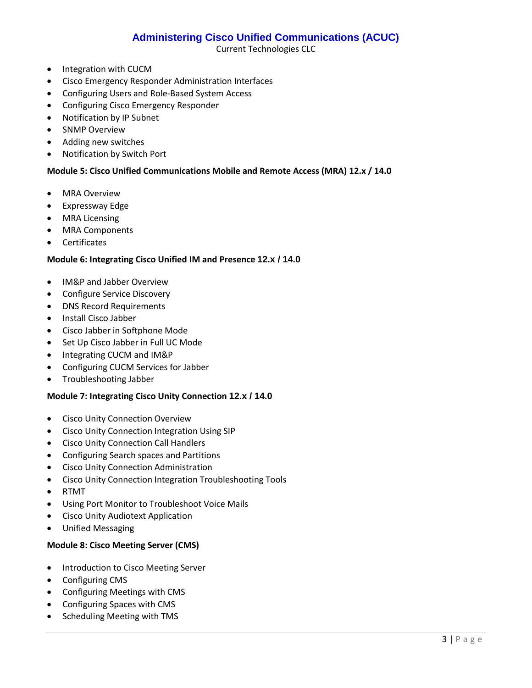Current Technologies CLC

- Integration with CUCM
- Cisco Emergency Responder Administration Interfaces
- Configuring Users and Role-Based System Access
- **•** Configuring Cisco Emergency Responder
- Notification by IP Subnet
- SNMP Overview
- Adding new switches
- Notification by Switch Port

#### **Module 5: Cisco Unified Communications Mobile and Remote Access (MRA) 12.x / 14.0**

- MRA Overview
- Expressway Edge
- MRA Licensing
- MRA Components
- Certificates

#### **Module 6: Integrating Cisco Unified IM and Presence 12.x / 14.0**

- IM&P and Jabber Overview
- Configure Service Discovery
- DNS Record Requirements
- Install Cisco Jabber
- Cisco Jabber in Softphone Mode
- Set Up Cisco Jabber in Full UC Mode
- Integrating CUCM and IM&P
- Configuring CUCM Services for Jabber
- Troubleshooting Jabber

#### **Module 7: Integrating Cisco Unity Connection 12.x / 14.0**

- **•** Cisco Unity Connection Overview
- Cisco Unity Connection Integration Using SIP
- Cisco Unity Connection Call Handlers
- Configuring Search spaces and Partitions
- **•** Cisco Unity Connection Administration
- Cisco Unity Connection Integration Troubleshooting Tools
- RTMT
- Using Port Monitor to Troubleshoot Voice Mails
- Cisco Unity Audiotext Application
- Unified Messaging

#### **Module 8: Cisco Meeting Server (CMS)**

- Introduction to Cisco Meeting Server
- Configuring CMS
- Configuring Meetings with CMS
- Configuring Spaces with CMS
- Scheduling Meeting with TMS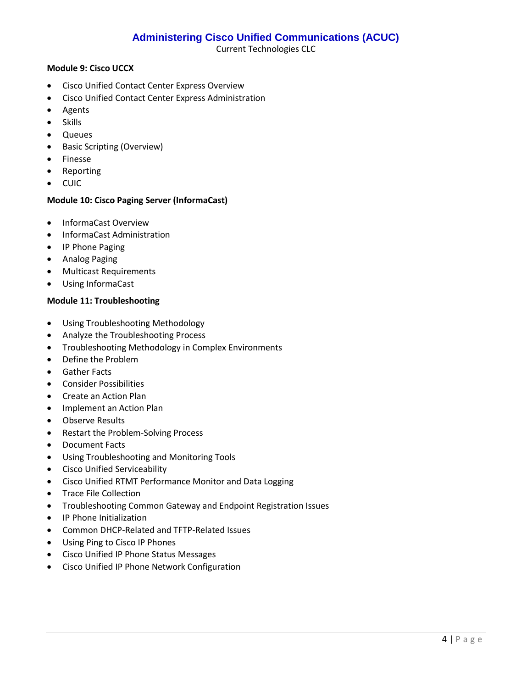Current Technologies CLC

#### **Module 9: Cisco UCCX**

- Cisco Unified Contact Center Express Overview
- Cisco Unified Contact Center Express Administration
- Agents
- Skills
- Queues
- Basic Scripting (Overview)
- **•** Finesse
- Reporting
- CUIC

### **Module 10: Cisco Paging Server (InformaCast)**

- InformaCast Overview
- InformaCast Administration
- IP Phone Paging
- Analog Paging
- Multicast Requirements
- Using InformaCast

#### **Module 11: Troubleshooting**

- Using Troubleshooting Methodology
- Analyze the Troubleshooting Process
- **•** Troubleshooting Methodology in Complex Environments
- Define the Problem
- **Gather Facts**
- Consider Possibilities
- Create an Action Plan
- Implement an Action Plan
- Observe Results
- Restart the Problem-Solving Process
- Document Facts
- Using Troubleshooting and Monitoring Tools
- Cisco Unified Serviceability
- Cisco Unified RTMT Performance Monitor and Data Logging
- Trace File Collection
- Troubleshooting Common Gateway and Endpoint Registration Issues
- IP Phone Initialization
- Common DHCP-Related and TFTP-Related Issues
- Using Ping to Cisco IP Phones
- Cisco Unified IP Phone Status Messages
- Cisco Unified IP Phone Network Configuration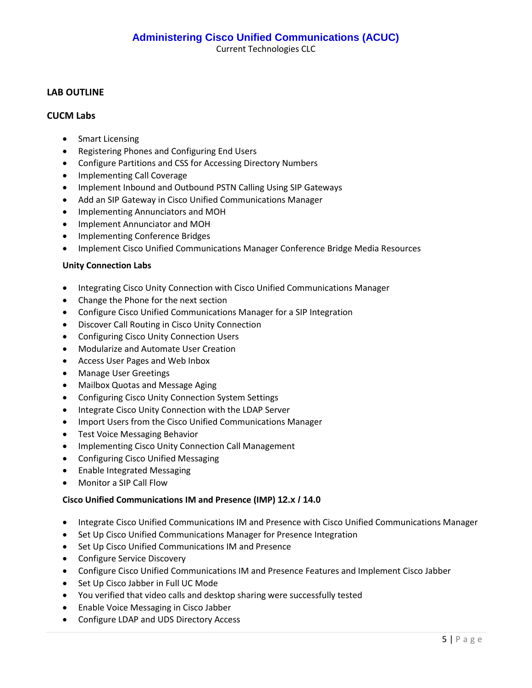Current Technologies CLC

## **LAB OUTLINE**

### **CUCM Labs**

- Smart Licensing
- Registering Phones and Configuring End Users
- Configure Partitions and CSS for Accessing Directory Numbers
- Implementing Call Coverage
- Implement Inbound and Outbound PSTN Calling Using SIP Gateways
- Add an SIP Gateway in Cisco Unified Communications Manager
- Implementing Annunciators and MOH
- Implement Annunciator and MOH
- Implementing Conference Bridges
- Implement Cisco Unified Communications Manager Conference Bridge Media Resources

#### **Unity Connection Labs**

- Integrating Cisco Unity Connection with Cisco Unified Communications Manager
- Change the Phone for the next section
- Configure Cisco Unified Communications Manager for a SIP Integration
- Discover Call Routing in Cisco Unity Connection
- Configuring Cisco Unity Connection Users
- Modularize and Automate User Creation
- Access User Pages and Web Inbox
- Manage User Greetings
- Mailbox Quotas and Message Aging
- Configuring Cisco Unity Connection System Settings
- Integrate Cisco Unity Connection with the LDAP Server
- Import Users from the Cisco Unified Communications Manager
- **•** Test Voice Messaging Behavior
- Implementing Cisco Unity Connection Call Management
- Configuring Cisco Unified Messaging
- Enable Integrated Messaging
- Monitor a SIP Call Flow

#### **Cisco Unified Communications IM and Presence (IMP) 12.x / 14.0**

- Integrate Cisco Unified Communications IM and Presence with Cisco Unified Communications Manager
- Set Up Cisco Unified Communications Manager for Presence Integration
- Set Up Cisco Unified Communications IM and Presence
- Configure Service Discovery
- Configure Cisco Unified Communications IM and Presence Features and Implement Cisco Jabber
- Set Up Cisco Jabber in Full UC Mode
- You verified that video calls and desktop sharing were successfully tested
- Enable Voice Messaging in Cisco Jabber
- Configure LDAP and UDS Directory Access